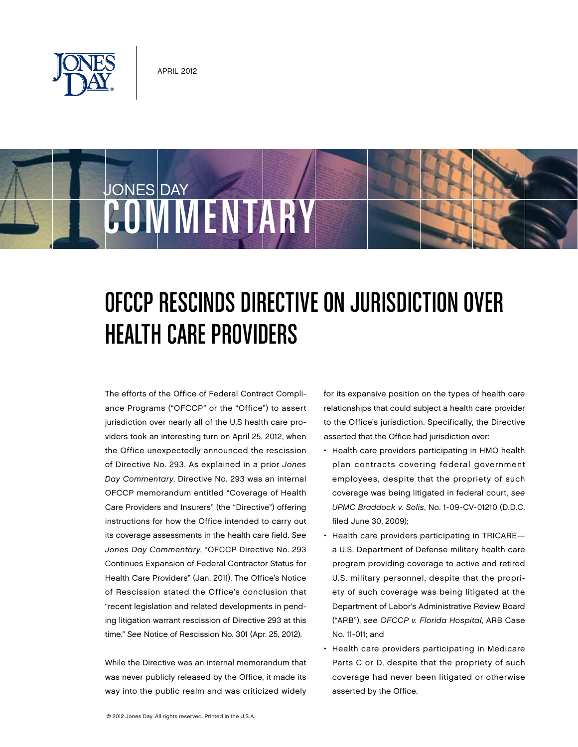

COMMENTARY

JONES DAY

## OFCCP Rescinds Directive on Jurisdiction Over Health Care Providers

The efforts of the Office of Federal Contract Compliance Programs ("OFCCP" or the "Office") to assert jurisdiction over nearly all of the U.S health care providers took an interesting turn on April 25, 2012, when the Office unexpectedly announced the rescission of Directive No. 293. As explained in a prior Jones Day Commentary, Directive No. 293 was an internal OFCCP memorandum entitled "Coverage of Health Care Providers and Insurers" (the "Directive") offering instructions for how the Office intended to carry out its coverage assessments in the health care field. See Jones Day Commentary, "OFCCP Directive No. 293 Continues Expansion of Federal Contractor Status for Health Care Providers" (Jan. 2011). The Office's Notice of Rescission stated the Office's conclusion that "recent legislation and related developments in pending litigation warrant rescission of Directive 293 at this time." See Notice of Rescission No. 301 (Apr. 25, 2012).

While the Directive was an internal memorandum that was never publicly released by the Office, it made its way into the public realm and was criticized widely for its expansive position on the types of health care relationships that could subject a health care provider to the Office's jurisdiction. Specifically, the Directive asserted that the Office had jurisdiction over:

- Health care providers participating in HMO health plan contracts covering federal government employees, despite that the propriety of such coverage was being litigated in federal court, see UPMC Braddock v. Solis, No. 1-09-CV-01210 (D.D.C. filed June 30, 2009);
- Health care providers participating in TRICARE a U.S. Department of Defense military health care program providing coverage to active and retired U.S. military personnel, despite that the propriety of such coverage was being litigated at the Department of Labor's Administrative Review Board ("ARB"), see OFCCP v. Florida Hospital, ARB Case No. 11-011; and
- Health care providers participating in Medicare Parts C or D, despite that the propriety of such coverage had never been litigated or otherwise asserted by the Office.